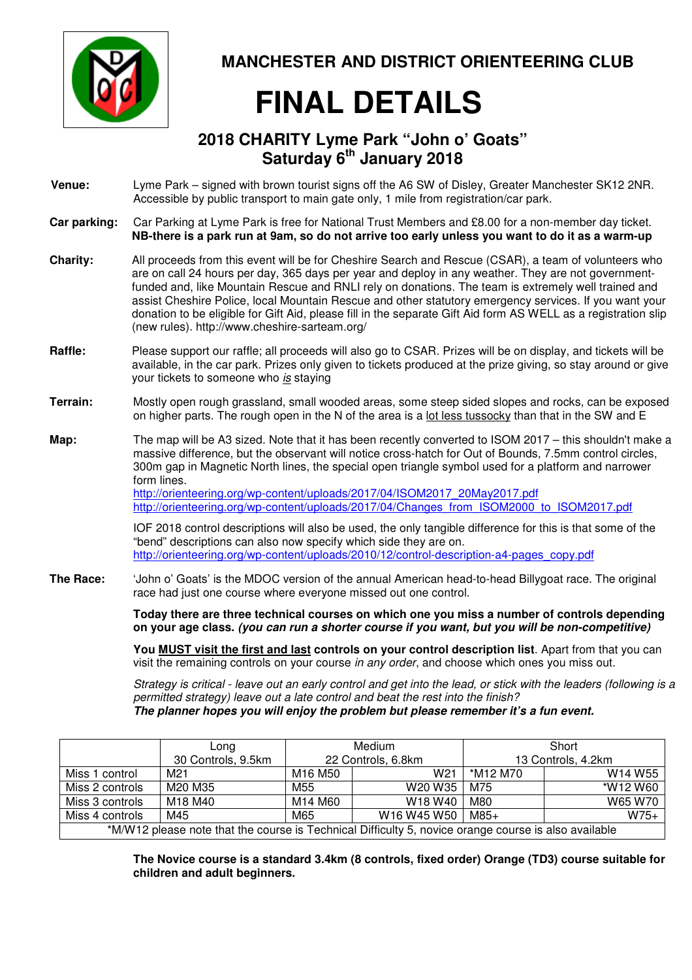

**MANCHESTER AND DISTRICT ORIENTEERING CLUB**

## **FINAL DETAILS**

## **2018 CHARITY Lyme Park "John o' Goats" Saturday 6th January 2018**

| Venue:          | Lyme Park – signed with brown tourist signs off the A6 SW of Disley, Greater Manchester SK12 2NR.<br>Accessible by public transport to main gate only, 1 mile from registration/car park.                                                                                                                                                                                                                                                                                                                                                                                                       |
|-----------------|-------------------------------------------------------------------------------------------------------------------------------------------------------------------------------------------------------------------------------------------------------------------------------------------------------------------------------------------------------------------------------------------------------------------------------------------------------------------------------------------------------------------------------------------------------------------------------------------------|
| Car parking:    | Car Parking at Lyme Park is free for National Trust Members and £8.00 for a non-member day ticket.<br>NB-there is a park run at 9am, so do not arrive too early unless you want to do it as a warm-up                                                                                                                                                                                                                                                                                                                                                                                           |
| <b>Charity:</b> | All proceeds from this event will be for Cheshire Search and Rescue (CSAR), a team of volunteers who<br>are on call 24 hours per day, 365 days per year and deploy in any weather. They are not government-<br>funded and, like Mountain Rescue and RNLI rely on donations. The team is extremely well trained and<br>assist Cheshire Police, local Mountain Rescue and other statutory emergency services. If you want your<br>donation to be eligible for Gift Aid, please fill in the separate Gift Aid form AS WELL as a registration slip<br>(new rules). http://www.cheshire-sarteam.org/ |
| Raffle:         | Please support our raffle; all proceeds will also go to CSAR. Prizes will be on display, and tickets will be<br>available, in the car park. Prizes only given to tickets produced at the prize giving, so stay around or give<br>your tickets to someone who is staying                                                                                                                                                                                                                                                                                                                         |
| Terrain:        | Mostly open rough grassland, small wooded areas, some steep sided slopes and rocks, can be exposed<br>on higher parts. The rough open in the N of the area is a lot less tussocky than that in the SW and E                                                                                                                                                                                                                                                                                                                                                                                     |
| Map:            | The map will be A3 sized. Note that it has been recently converted to ISOM 2017 - this shouldn't make a<br>massive difference, but the observant will notice cross-hatch for Out of Bounds, 7.5mm control circles,<br>300m gap in Magnetic North lines, the special open triangle symbol used for a platform and narrower<br>form lines.<br>http://orienteering.org/wp-content/uploads/2017/04/ISOM2017_20May2017.pdf<br>http://orienteering.org/wp-content/uploads/2017/04/Changes from ISOM2000 to ISOM2017.pdf                                                                               |
|                 | IOF 2018 control descriptions will also be used, the only tangible difference for this is that some of the<br>"bend" descriptions can also now specify which side they are on.<br>http://orienteering.org/wp-content/uploads/2010/12/control-description-a4-pages_copy.pdf                                                                                                                                                                                                                                                                                                                      |
| The Race:       | 'John o' Goats' is the MDOC version of the annual American head-to-head Billygoat race. The original<br>race had just one course where everyone missed out one control.                                                                                                                                                                                                                                                                                                                                                                                                                         |
|                 | Today there are three technical courses on which one you miss a number of controls depending<br>on your age class. (you can run a shorter course if you want, but you will be non-competitive)                                                                                                                                                                                                                                                                                                                                                                                                  |

**You MUST visit the first and last controls on your control description list**. Apart from that you can visit the remaining controls on your course in any order, and choose which ones you miss out.

Strategy is critical - leave out an early control and get into the lead, or stick with the leaders (following is a permitted strategy) leave out a late control and beat the rest into the finish? **The planner hopes you will enjoy the problem but please remember it's a fun event.** 

|                 | Long               | Medium                          |                                 | Short              |                                 |
|-----------------|--------------------|---------------------------------|---------------------------------|--------------------|---------------------------------|
|                 | 30 Controls, 9.5km | 22 Controls, 6.8km              |                                 | 13 Controls, 4.2km |                                 |
| Miss 1 control  | M <sub>21</sub>    | M <sub>16</sub> M <sub>50</sub> | W <sub>21</sub>                 | *M12 M70           | W <sub>14</sub> W <sub>55</sub> |
| Miss 2 controls | M20 M35            | M55                             | W20 W35                         | M75                | *W12 W60                        |
| Miss 3 controls | M18 M40            | M14 M60                         | W <sub>18</sub> W <sub>40</sub> | M80                | W65 W70                         |
| Miss 4 controls | M45                | M65                             | W16 W45 W50                     | M85+               | $W75+$                          |

\*M/W12 please note that the course is Technical Difficulty 5, novice orange course is also available

**The Novice course is a standard 3.4km (8 controls, fixed order) Orange (TD3) course suitable for children and adult beginners.**